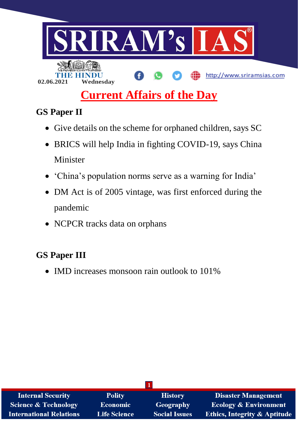

# **Current Affairs of the Day**

# **GS Paper II**

- Give details on the scheme for orphaned children, says SC
- BRICS will help India in fighting COVID-19, says China Minister
- 'China's population norms serve as a warning for India'
- DM Act is of 2005 vintage, was first enforced during the pandemic
- NCPCR tracks data on orphans

## **GS Paper III**

• IMD increases monsoon rain outlook to 101%

| <b>Internal Security</b>        | <b>Polity</b>       | <b>History</b>       | <b>Disaster Management</b>              |
|---------------------------------|---------------------|----------------------|-----------------------------------------|
| <b>Science &amp; Technology</b> | <b>Economic</b>     | <b>Geography</b>     | <b>Ecology &amp; Environment</b>        |
| <b>International Relations</b>  | <b>Life Science</b> | <b>Social Issues</b> | <b>Ethics, Integrity &amp; Aptitude</b> |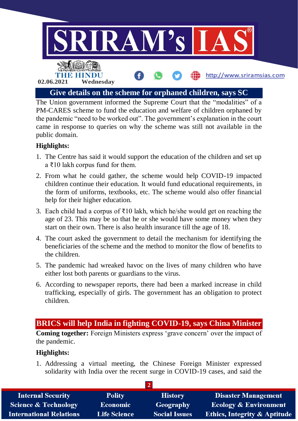

The Union government informed the Supreme Court that the "modalities" of a PM-CARES scheme to fund the education and welfare of children orphaned by the pandemic "need to be worked out". The government's explanation in the court came in response to queries on why the scheme was still not available in the public domain.

### **Highlights:**

- 1. The Centre has said it would support the education of the children and set up a ₹10 lakh corpus fund for them.
- 2. From what he could gather, the scheme would help COVID-19 impacted children continue their education. It would fund educational requirements, in the form of uniforms, textbooks, etc. The scheme would also offer financial help for their higher education.
- 3. Each child had a corpus of  $\bar{\tau}$ 10 lakh, which he/she would get on reaching the age of 23. This may be so that he or she would have some money when they start on their own. There is also health insurance till the age of 18.
- 4. The court asked the government to detail the mechanism for identifying the beneficiaries of the scheme and the method to monitor the flow of benefits to the children.
- 5. The pandemic had wreaked havoc on the lives of many children who have either lost both parents or guardians to the virus.
- 6. According to newspaper reports, there had been a marked increase in child trafficking, especially of girls. The government has an obligation to protect children.

### **BRICS will help India in fighting COVID-19, says China Minister**

**Coming together:** Foreign Ministers express 'grave concern' over the impact of the pandemic.

### **Highlights:**

1. Addressing a virtual meeting, the Chinese Foreign Minister expressed solidarity with India over the recent surge in COVID-19 cases, and said the

| <b>Internal Security</b>        | <b>Polity</b>       | <b>History</b>       | <b>Disaster Management</b>              |
|---------------------------------|---------------------|----------------------|-----------------------------------------|
| <b>Science &amp; Technology</b> | <b>Economic</b>     | Geography            | <b>Ecology &amp; Environment</b>        |
| <b>International Relations</b>  | <b>Life Science</b> | <b>Social Issues</b> | <b>Ethics, Integrity &amp; Aptitude</b> |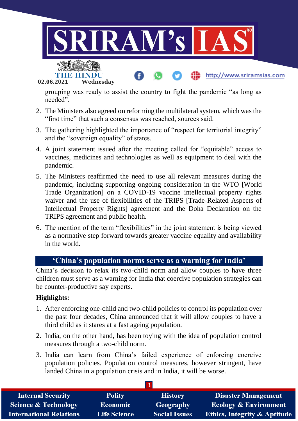

grouping was ready to assist the country to fight the pandemic "as long as needed".

- 2. The Ministers also agreed on reforming the multilateral system, which was the "first time" that such a consensus was reached, sources said.
- 3. The gathering highlighted the importance of "respect for territorial integrity" and the "sovereign equality" of states.
- 4. A joint statement issued after the meeting called for "equitable" access to vaccines, medicines and technologies as well as equipment to deal with the pandemic.
- 5. The Ministers reaffirmed the need to use all relevant measures during the pandemic, including supporting ongoing consideration in the WTO [World Trade Organization] on a COVID-19 vaccine intellectual property rights waiver and the use of flexibilities of the TRIPS [Trade-Related Aspects of Intellectual Property Rights] agreement and the Doha Declaration on the TRIPS agreement and public health.
- 6. The mention of the term "flexibilities" in the joint statement is being viewed as a normative step forward towards greater vaccine equality and availability in the world.

### **'China's population norms serve as a warning for India'**

China's decision to relax its two-child norm and allow couples to have three children must serve as a warning for India that coercive population strategies can be counter-productive say experts.

- 1. After enforcing one-child and two-child policies to control its population over the past four decades, China announced that it will allow couples to have a third child as it stares at a fast ageing population.
- 2. India, on the other hand, has been toying with the idea of population control measures through a two-child norm.
- 3. India can learn from China's failed experience of enforcing coercive population policies. Population control measures, however stringent, have landed China in a population crisis and in India, it will be worse.

| <b>Internal Security</b>        | <b>Polity</b>       | <b>History</b>       | <b>Disaster Management</b>              |
|---------------------------------|---------------------|----------------------|-----------------------------------------|
| <b>Science &amp; Technology</b> | <b>Economic</b>     | Geography            | <b>Ecology &amp; Environment</b>        |
| <b>International Relations</b>  | <b>Life Science</b> | <b>Social Issues</b> | <b>Ethics, Integrity &amp; Aptitude</b> |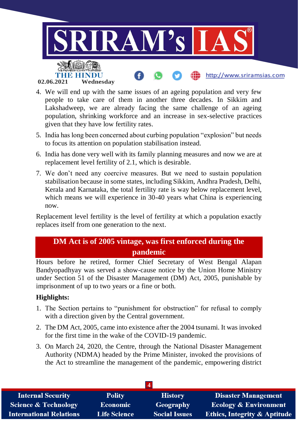

- 4. We will end up with the same issues of an ageing population and very few people to take care of them in another three decades. In Sikkim and Lakshadweep, we are already facing the same challenge of an ageing population, shrinking workforce and an increase in sex-selective practices given that they have low fertility rates.
- 5. India has long been concerned about curbing population "explosion" but needs to focus its attention on population stabilisation instead.
- 6. India has done very well with its family planning measures and now we are at replacement level fertility of 2.1, which is desirable.
- 7. We don't need any coercive measures. But we need to sustain population stabilisation because in some states, including Sikkim, Andhra Pradesh, Delhi, Kerala and Karnataka, the total fertility rate is way below replacement level, which means we will experience in 30-40 years what China is experiencing now.

Replacement level fertility is the level of fertility at which a population exactly replaces itself from one generation to the next.

### **DM Act is of 2005 vintage, was first enforced during the pandemic**

Hours before he retired, former Chief Secretary of West Bengal Alapan Bandyopadhyay was served a show-cause notice by the Union Home Ministry under Section 51 of the Disaster Management (DM) Act, 2005, punishable by imprisonment of up to two years or a fine or both.

- 1. The Section pertains to "punishment for obstruction" for refusal to comply with a direction given by the Central government.
- 2. The DM Act, 2005, came into existence after the 2004 tsunami. It was invoked for the first time in the wake of the COVID-19 pandemic.
- 3. On March 24, 2020, the Centre, through the National Disaster Management Authority (NDMA) headed by the Prime Minister, invoked the provisions of the Act to streamline the management of the pandemic, empowering district

| <b>Internal Security</b>        | <b>Polity</b>       | <b>History</b>       | <b>Disaster Management</b>              |
|---------------------------------|---------------------|----------------------|-----------------------------------------|
| <b>Science &amp; Technology</b> | <b>Economic</b>     | Geography            | <b>Ecology &amp; Environment</b>        |
| <b>International Relations</b>  | <b>Life Science</b> | <b>Social Issues</b> | <b>Ethics, Integrity &amp; Aptitude</b> |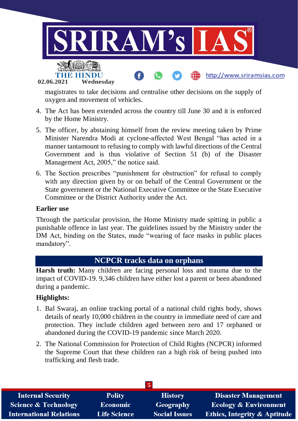

magistrates to take decisions and centralise other decisions on the supply of oxygen and movement of vehicles.

- 4. The Act has been extended across the country till June 30 and it is enforced by the Home Ministry.
- 5. The officer, by abstaining himself from the review meeting taken by Prime Minister Narendra Modi at cyclone-affected West Bengal "has acted in a manner tantamount to refusing to comply with lawful directions of the Central Government and is thus violative of Section 51 (b) of the Disaster Management Act, 2005," the notice said.
- 6. The Section prescribes "punishment for obstruction" for refusal to comply with any direction given by or on behalf of the Central Government or the State government or the National Executive Committee or the State Executive Committee or the District Authority under the Act.

#### **Earlier use**

Through the particular provision, the Home Ministry made spitting in public a punishable offence in last year. The guidelines issued by the Ministry under the DM Act, binding on the States, made "wearing of face masks in public places mandatory".

### **NCPCR tracks data on orphans**

**Harsh truth:** Many children are facing personal loss and trauma due to the impact of COVID-19. 9,346 children have either lost a parent or been abandoned during a pandemic.

- 1. Bal Swaraj, an online tracking portal of a national child rights body, shows details of nearly 10,000 children in the country in immediate need of care and protection. They include children aged between zero and 17 orphaned or abandoned during the COVID-19 pandemic since March 2020.
- 2. The National Commission for Protection of Child Rights (NCPCR) informed the Supreme Court that these children ran a high risk of being pushed into trafficking and flesh trade.

| <b>Internal Security</b>        | <b>Polity</b>       | <b>History</b>       | <b>Disaster Management</b>              |
|---------------------------------|---------------------|----------------------|-----------------------------------------|
| <b>Science &amp; Technology</b> | <b>Economic</b>     | Geography            | <b>Ecology &amp; Environment</b>        |
| <b>International Relations</b>  | <b>Life Science</b> | <b>Social Issues</b> | <b>Ethics, Integrity &amp; Aptitude</b> |